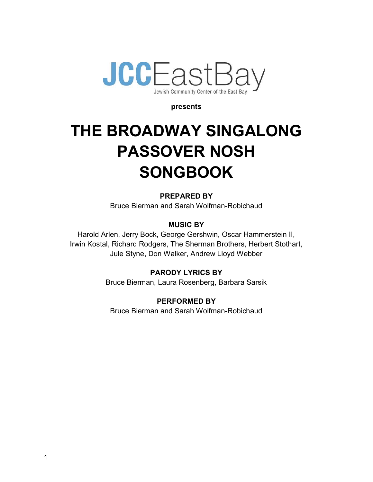

#### presents

# THE BROADWAY SINGALONG PASSOVER NOSH **SONGBOOK**

PREPARED BY Bruce Bierman and Sarah Wolfman-Robichaud

MUSIC BY

Harold Arlen, Jerry Bock, George Gershwin, Oscar Hammerstein II, Irwin Kostal, Richard Rodgers, The Sherman Brothers, Herbert Stothart, Jule Styne, Don Walker, Andrew Lloyd Webber

#### PARODY LYRICS BY

Bruce Bierman, Laura Rosenberg, Barbara Sarsik

#### PERFORMED BY

Bruce Bierman and Sarah Wolfman-Robichaud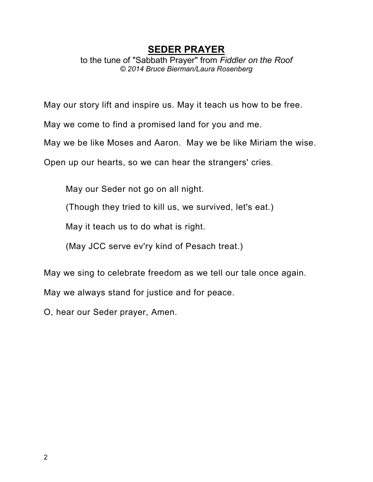## SEDER PRAYER

to the tune of "Sabbath Prayer" from Fiddler on the Roof © 2014 Bruce Bierman/Laura Rosenberg

May our story lift and inspire us. May it teach us how to be free.

May we come to find a promised land for you and me.

May we be like Moses and Aaron. May we be like Miriam the wise.

Open up our hearts, so we can hear the strangers' cries.

May our Seder not go on all night.

(Though they tried to kill us, we survived, let's eat.)

May it teach us to do what is right.

(May JCC serve ev'ry kind of Pesach treat.)

May we sing to celebrate freedom as we tell our tale once again.

May we always stand for justice and for peace.

O, hear our Seder prayer, Amen.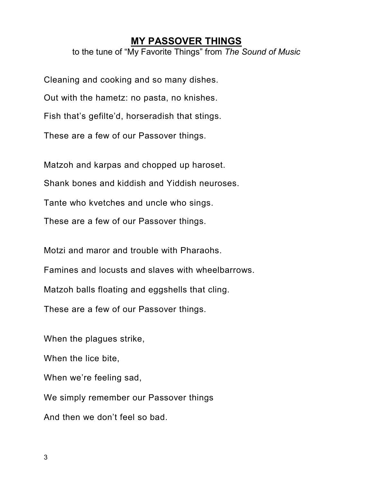#### MY PASSOVER THINGS

to the tune of "My Favorite Things" from The Sound of Music

Cleaning and cooking and so many dishes. Out with the hametz: no pasta, no knishes.

Fish that's gefilte'd, horseradish that stings.

These are a few of our Passover things.

Matzoh and karpas and chopped up haroset.

Shank bones and kiddish and Yiddish neuroses.

Tante who kvetches and uncle who sings.

These are a few of our Passover things.

Motzi and maror and trouble with Pharaohs.

Famines and locusts and slaves with wheelbarrows.

Matzoh balls floating and eggshells that cling.

These are a few of our Passover things.

When the plagues strike,

When the lice bite,

When we're feeling sad,

We simply remember our Passover things

And then we don't feel so bad.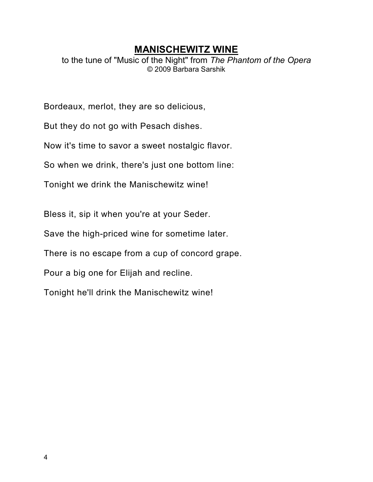## MANISCHEWITZ WINE

to the tune of "Music of the Night" from The Phantom of the Opera © 2009 Barbara Sarshik

Bordeaux, merlot, they are so delicious,

But they do not go with Pesach dishes.

Now it's time to savor a sweet nostalgic flavor.

So when we drink, there's just one bottom line:

Tonight we drink the Manischewitz wine!

Bless it, sip it when you're at your Seder.

Save the high-priced wine for sometime later.

There is no escape from a cup of concord grape.

Pour a big one for Elijah and recline.

Tonight he'll drink the Manischewitz wine!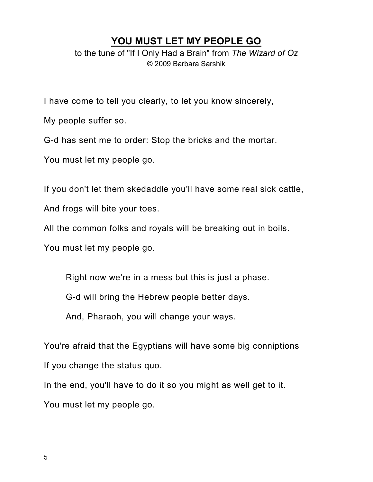## YOU MUST LET MY PEOPLE GO

to the tune of "If I Only Had a Brain" from The Wizard of Oz © 2009 Barbara Sarshik

I have come to tell you clearly, to let you know sincerely,

My people suffer so.

G-d has sent me to order: Stop the bricks and the mortar.

You must let my people go.

If you don't let them skedaddle you'll have some real sick cattle,

And frogs will bite your toes.

All the common folks and royals will be breaking out in boils.

You must let my people go.

Right now we're in a mess but this is just a phase.

G-d will bring the Hebrew people better days.

And, Pharaoh, you will change your ways.

You're afraid that the Egyptians will have some big conniptions If you change the status quo.

In the end, you'll have to do it so you might as well get to it. You must let my people go.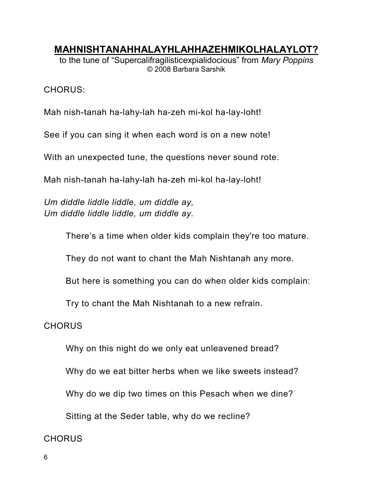MAHNISHTANAHHALAYHLAHHAZEHMIKOLHALAYLOT?

to the tune of "Supercalifragilisticexpialidocious" from Mary Poppins © 2008 Barbara Sarshik

CHORUS:

Mah nish-tanah ha-lahy-lah ha-zeh mi-kol ha-lay-loht!

See if you can sing it when each word is on a new note!

With an unexpected tune, the questions never sound rote.

Mah nish-tanah ha-lahy-lah ha-zeh mi-kol ha-lay-loht!

Um diddle liddle liddle, um diddle ay, Um diddle liddle liddle, um diddle ay.

There's a time when older kids complain they're too mature.

They do not want to chant the Mah Nishtanah any more.

But here is something you can do when older kids complain:

Try to chant the Mah Nishtanah to a new refrain.

#### **CHORUS**

Why on this night do we only eat unleavened bread?

Why do we eat bitter herbs when we like sweets instead?

Why do we dip two times on this Pesach when we dine?

Sitting at the Seder table, why do we recline?

#### CHORUS